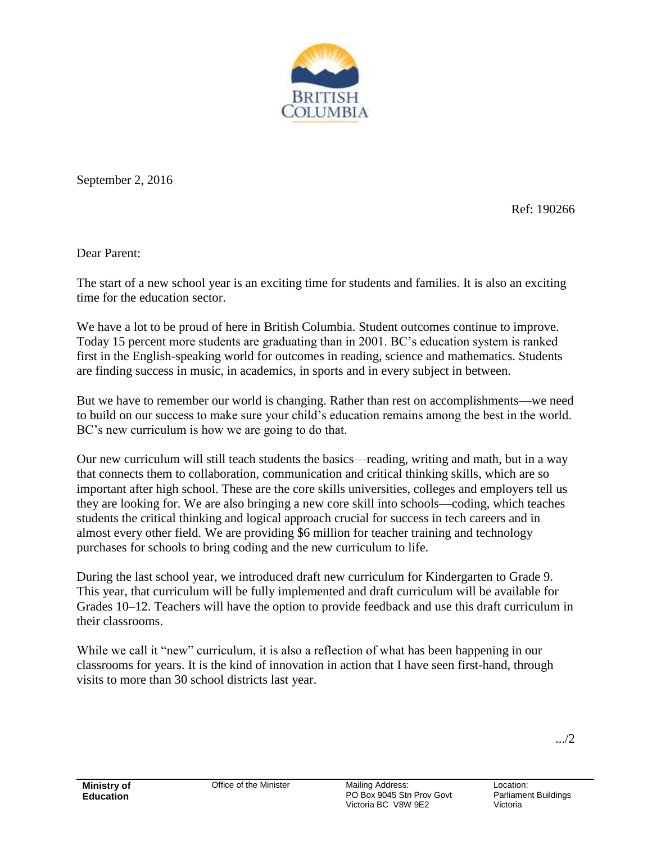

September 2, 2016

Ref: 190266

Dear Parent:

The start of a new school year is an exciting time for students and families. It is also an exciting time for the education sector.

We have a lot to be proud of here in British Columbia. Student outcomes continue to improve. Today 15 percent more students are graduating than in 2001. BC's education system is ranked first in the English-speaking world for outcomes in reading, science and mathematics. Students are finding success in music, in academics, in sports and in every subject in between.

But we have to remember our world is changing. Rather than rest on accomplishments—we need to build on our success to make sure your child's education remains among the best in the world. BC's new curriculum is how we are going to do that.

Our new curriculum will still teach students the basics—reading, writing and math, but in a way that connects them to collaboration, communication and critical thinking skills, which are so important after high school. These are the core skills universities, colleges and employers tell us they are looking for. We are also bringing a new core skill into schools—coding, which teaches students the critical thinking and logical approach crucial for success in tech careers and in almost every other field. We are providing \$6 million for teacher training and technology purchases for schools to bring coding and the new curriculum to life.

During the last school year, we introduced draft new curriculum for Kindergarten to Grade 9. This year, that curriculum will be fully implemented and draft curriculum will be available for Grades 10–12. Teachers will have the option to provide feedback and use this draft curriculum in their classrooms.

While we call it "new" curriculum, it is also a reflection of what has been happening in our classrooms for years. It is the kind of innovation in action that I have seen first-hand, through visits to more than 30 school districts last year.